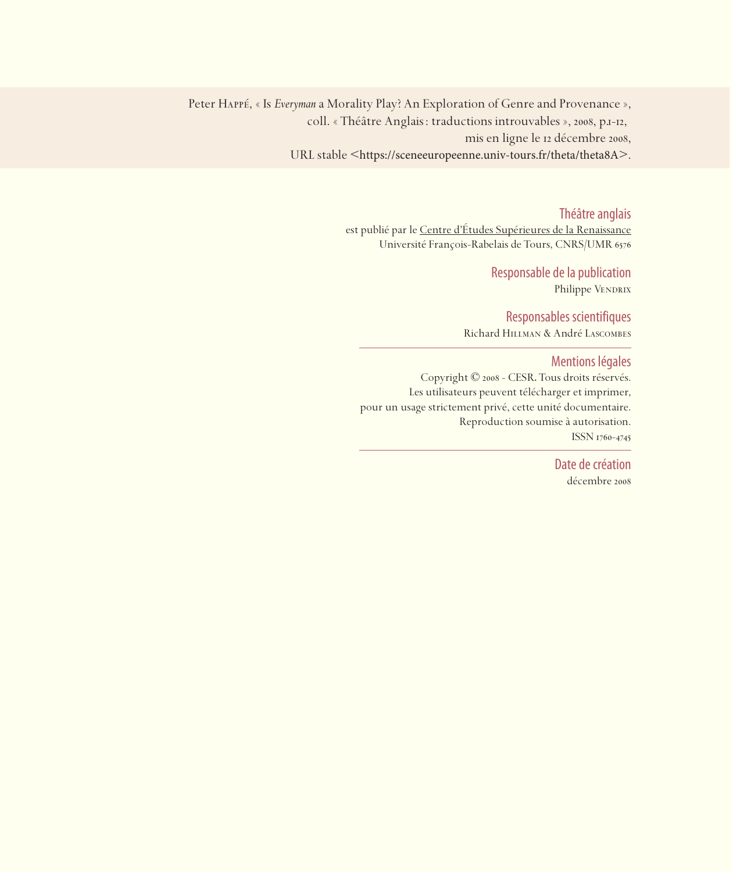Peter Happé, « Is *Everyman*a Morality Play? An Exploration of Genre and Provenance », coll. « Théâtre Anglais : traductions introuvables », 2008, p.1-12, mis en ligne le 12 décembre 2008, URL stable <https://sceneeuropeenne.univ-tours.fr/theta/theta8A>.

Théâtre anglais

est publié par le Centre d'études Supérieures de la Renaissance Université François-Rabelais de Tours, CNRS/UMR

> Responsable de la publication Philippe VENDRIX

Responsables scientifiques Richard Hillman & André Lascombes

Mentions légales

Copyright © 2008 - CESR. Tous droits réservés. Les utilisateurs peuvent télécharger et imprimer, pour un usage strictement privé, cette unité documentaire. Reproduction soumise à autorisation. ISSN 1760-4745

> Date de création décembre 2008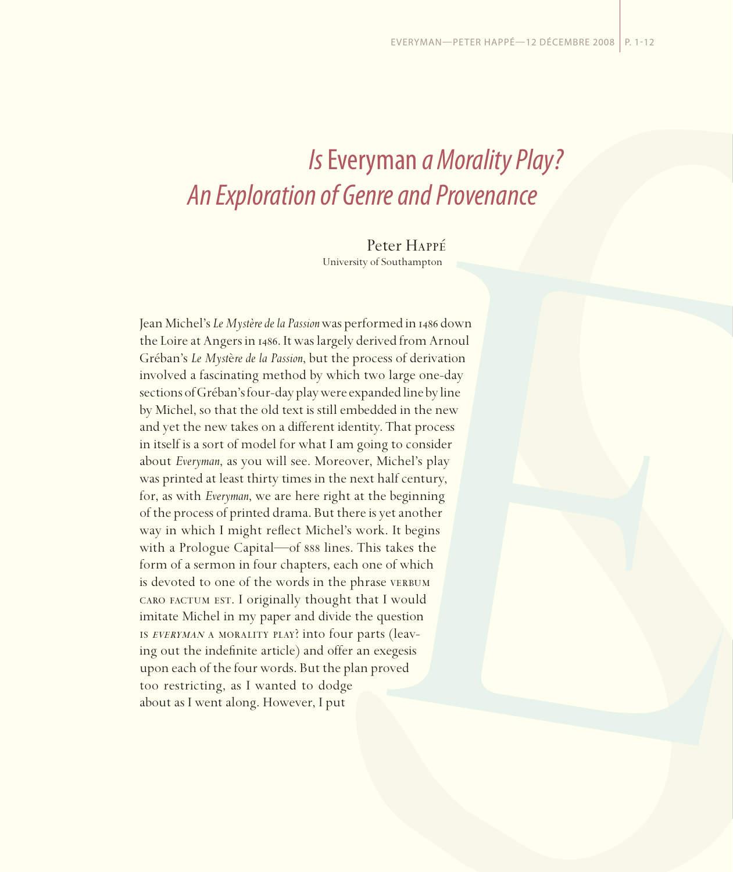## *Is* Everyman *a Morality Play? An Exploration of Genre and Provenance*

Peter Happé

University of Southampton

Jean Michel's *Le Mystère de la Passion* was performed in 1486 down the Loire at Angers in 1486. It was largely derived from Arnoul Gréban's *Le Myst*è*re de la Passion*, but the process of derivation involved a fascinating method by which two large one-day sections of Gréban's four-day play were expanded line by line by Michel, so that the old text is still embedded in the new and yet the new takes on a different identity. That process in itself is a sort of model for what I am going to consider about *Everyman*, as you will see. Moreover, Michel's play was printed at least thirty times in the next half century, for, as with *Everyman*, we are here right at the beginning of the process of printed drama. But there is yet another way in which I might reflect Michel's work. It begins with a Prologue Capital—of  $\frac{1}{100}$  sext lines. This takes the form of a sermon in four chapters, each one of which is devoted to one of the words in the phrase VERBUM caro factum est. I originally thought that I would imitate Michel in my paper and divide the question is everyman a morality play? into four parts (leaving out the indefinite article) and offer an exegesis upon each of the four words. But the plan proved too restricting, as I wanted to dodge about as I went along. However, I put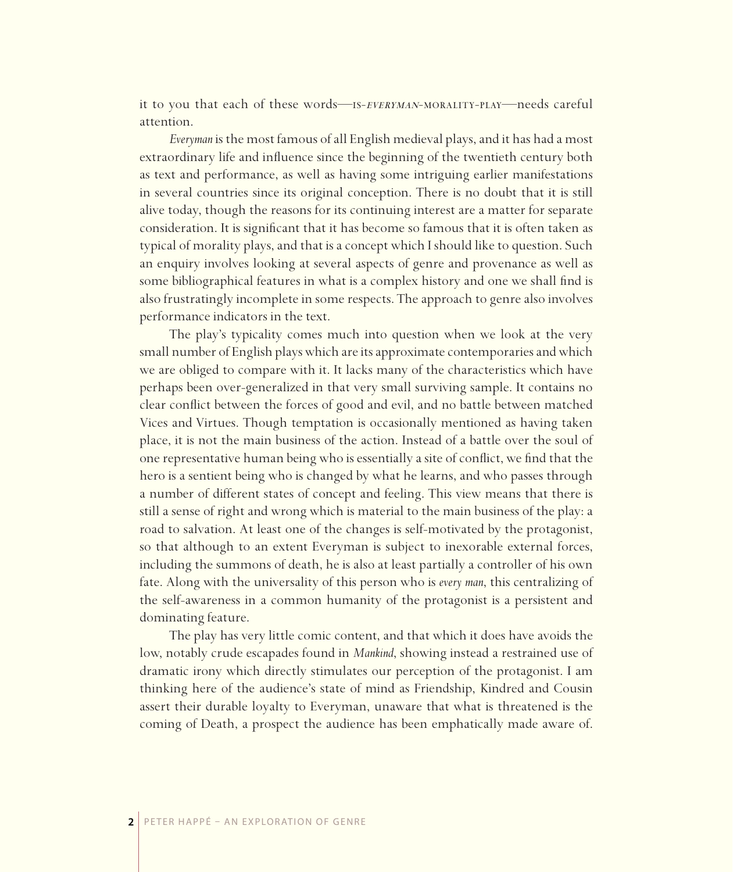it to you that each of these words—is-everyman-morality-play—needs careful attention.

*Everyman* is the most famous of all English medieval plays, and it has had a most extraordinary life and influence since the beginning of the twentieth century both as text and performance, as well as having some intriguing earlier manifestations in several countries since its original conception. There is no doubt that it is still alive today, though the reasons for its continuing interest are a matter for separate consideration. It is significant that it has become so famous that it is often taken as typical of morality plays, and that is a concept which I should like to question. Such an enquiry involves looking at several aspects of genre and provenance as well as some bibliographical features in what is a complex history and one we shall find is also frustratingly incomplete in some respects. The approach to genre also involves performance indicators in the text.

The play's typicality comes much into question when we look at the very small number of English plays which are its approximate contemporaries and which we are obliged to compare with it. It lacks many of the characteristics which have perhaps been over-generalized in that very small surviving sample. It contains no clear conflict between the forces of good and evil, and no battle between matched Vices and Virtues. Though temptation is occasionally mentioned as having taken place, it is not the main business of the action. Instead of a battle over the soul of one representative human being who is essentially a site of conflict, we find that the hero is a sentient being who is changed by what he learns, and who passes through a number of different states of concept and feeling. This view means that there is still a sense of right and wrong which is material to the main business of the play: a road to salvation. At least one of the changes is self-motivated by the protagonist, so that although to an extent Everyman is subject to inexorable external forces, including the summons of death, he is also at least partially a controller of his own fate. Along with the universality of this person who is *every man*, this centralizing of the self-awareness in a common humanity of the protagonist is a persistent and dominating feature.

The play has very little comic content, and that which it does have avoids the low, notably crude escapades found in *Mankind*, showing instead a restrained use of dramatic irony which directly stimulates our perception of the protagonist. I am thinking here of the audience's state of mind as Friendship, Kindred and Cousin assert their durable loyalty to Everyman, unaware that what is threatened is the coming of Death, a prospect the audience has been emphatically made aware of.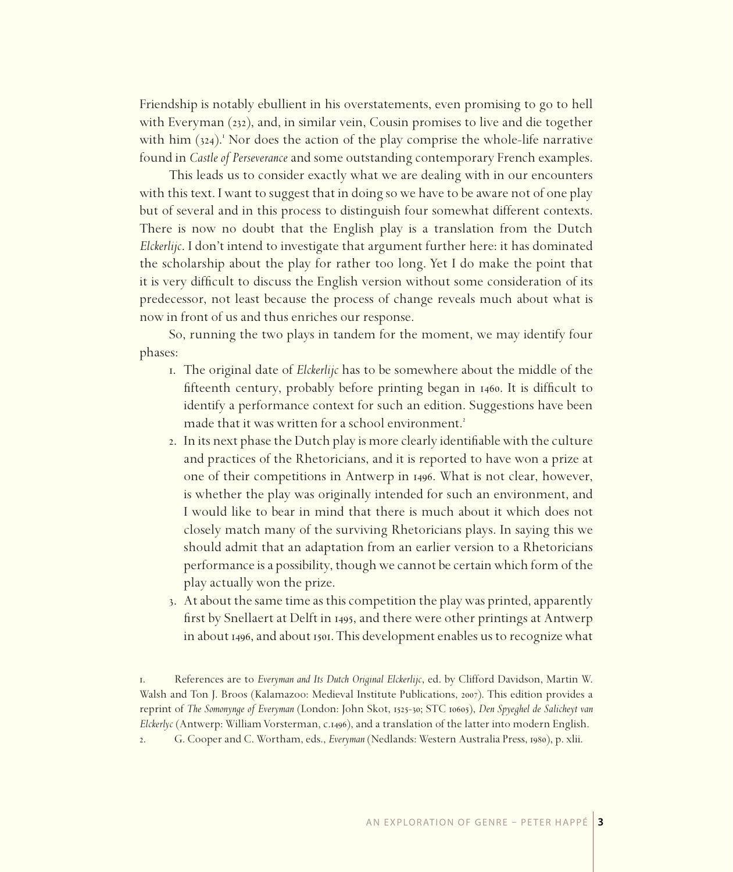Friendship is notably ebullient in his overstatements, even promising to go to hell with Everyman (232), and, in similar vein, Cousin promises to live and die together with him (324).<sup>1</sup> Nor does the action of the play comprise the whole-life narrative found in *Castle of Perseverance* and some outstanding contemporary French examples.

This leads us to consider exactly what we are dealing with in our encounters with this text. I want to suggest that in doing so we have to be aware not of one play but of several and in this process to distinguish four somewhat different contexts. There is now no doubt that the English play is a translation from the Dutch *Elckerlijc*. I don't intend to investigate that argument further here: it has dominated the scholarship about the play for rather too long. Yet I do make the point that it is very difficult to discuss the English version without some consideration of its predecessor, not least because the process of change reveals much about what is now in front of us and thus enriches our response.

So, running the two plays in tandem for the moment, we may identify four phases:

- . The original date of *Elckerlijc* has to be somewhere about the middle of the fifteenth century, probably before printing began in 1460. It is difficult to identify a performance context for such an edition. Suggestions have been made that it was written for a school environment.
- . In its next phase the Dutch play is more clearly identifiable with the culture and practices of the Rhetoricians, and it is reported to have won a prize at one of their competitions in Antwerp in 1496. What is not clear, however, is whether the play was originally intended for such an environment, and I would like to bear in mind that there is much about it which does not closely match many of the surviving Rhetoricians plays. In saying this we should admit that an adaptation from an earlier version to a Rhetoricians performance is a possibility, though we cannot be certain which form of the play actually won the prize.
- . At about the same time as this competition the play was printed, apparently first by Snellaert at Delft in 1495, and there were other printings at Antwerp in about 1496, and about 1501. This development enables us to recognize what

<sup>.</sup> References are to *Everyman and Its Dutch Original Elckerlijc*, ed. by Clifford Davidson, Martin W. Walsh and Ton J. Broos (Kalamazoo: Medieval Institute Publications, 2007). This edition provides a reprint of *The Somonynge of Everyman* (London: John Skot, 1525-30; STC 10605), *Den Spyeghel de Salicheyt van Elckerlyc* (Antwerp: William Vorsterman, c.1496), and a translation of the latter into modern English. 2. G. Cooper and C. Wortham, eds., *Everyman* (Nedlands: Western Australia Press, 1980), p. xlii.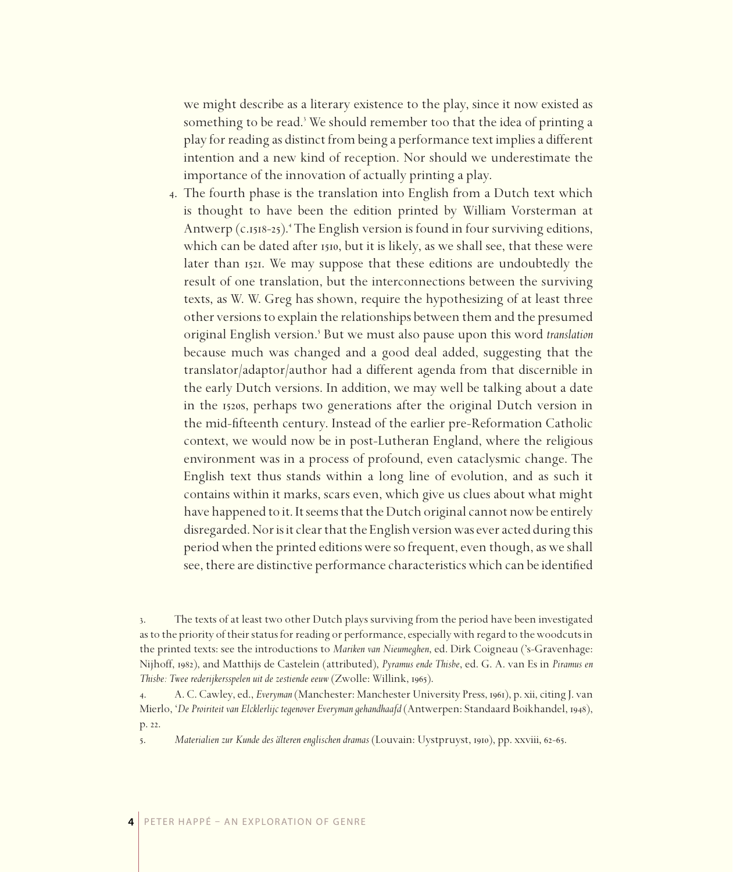we might describe as a literary existence to the play, since it now existed as something to be read.<sup>3</sup> We should remember too that the idea of printing a play for reading as distinct from being a performance text implies a different intention and a new kind of reception. Nor should we underestimate the importance of the innovation of actually printing a play.

. The fourth phase is the translation into English from a Dutch text which is thought to have been the edition printed by William Vorsterman at Antwerp (c.1518-25).<sup>4</sup> The English version is found in four surviving editions, which can be dated after 1510, but it is likely, as we shall see, that these were later than 1521. We may suppose that these editions are undoubtedly the result of one translation, but the interconnections between the surviving texts, as W. W. Greg has shown, require the hypothesizing of at least three other versions to explain the relationships between them and the presumed original English version.<sup>5</sup> But we must also pause upon this word *translation* because much was changed and a good deal added, suggesting that the translator/adaptor/author had a different agenda from that discernible in the early Dutch versions. In addition, we may well be talking about a date in the 1520s, perhaps two generations after the original Dutch version in the mid-fifteenth century. Instead of the earlier pre-Reformation Catholic context, we would now be in post-Lutheran England, where the religious environment was in a process of profound, even cataclysmic change. The English text thus stands within a long line of evolution, and as such it contains within it marks, scars even, which give us clues about what might have happened to it. It seems that the Dutch original cannot now be entirely disregarded. Nor is it clear that the English version was ever acted during this period when the printed editions were so frequent, even though, as we shall see, there are distinctive performance characteristics which can be identified

<sup>.</sup> The texts of at least two other Dutch plays surviving from the period have been investigated as to the priority of their status for reading or performance, especially with regard to the woodcuts in the printed texts: see the introductions to *Mariken van Nieumeghen*, ed. Dirk Coigneau ('s-Gravenhage: Nijhoff, 1982), and Matthijs de Castelein (attributed), *Pyramus ende Thisbe*, ed. G. A. van Es in *Piramus en Thisbe: Twee rederijkersspelen uit de zestiende eeuw (Zwolle: Willink, 1965).* 

<sup>4.</sup> A. C. Cawley, ed., *Everyman* (Manchester: Manchester University Press, 1961), p. xii, citing J. van Mierlo, '*De Proiriteit van Elcklerlijc tegenover Everyman gehandhaafd* (Antwerpen: Standaard Boikhandel, 1948), p. 22.

<sup>5.</sup> *Materialien zur Kunde des älteren englischen dramas* (Louvain: Uystpruyst, 1910), pp. xxviii, 62-65.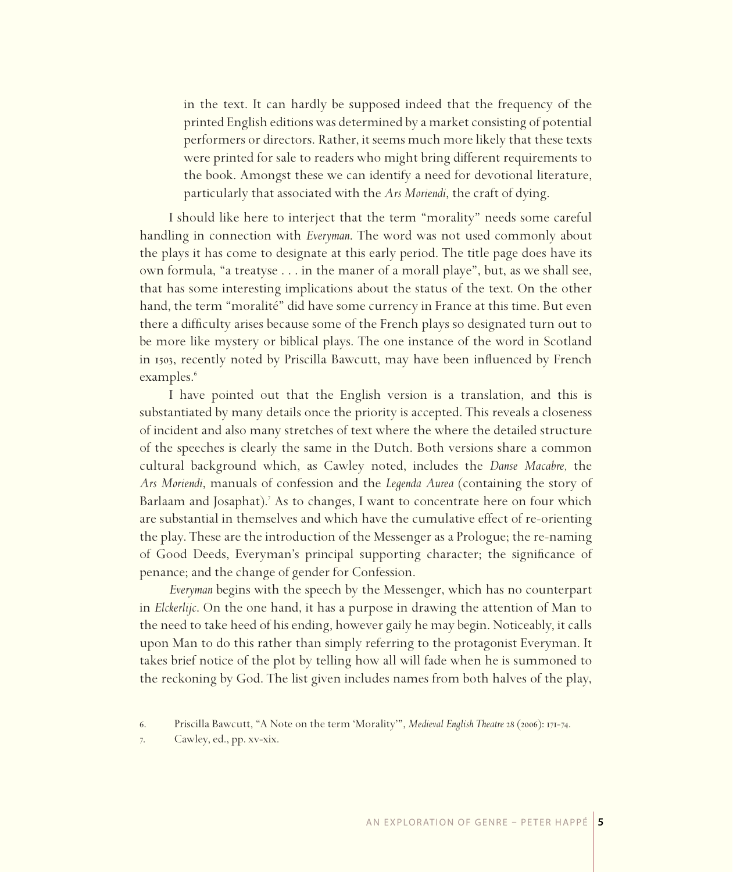in the text. It can hardly be supposed indeed that the frequency of the printed English editions was determined by a market consisting of potential performers or directors. Rather, it seems much more likely that these texts were printed for sale to readers who might bring different requirements to the book. Amongst these we can identify a need for devotional literature, particularly that associated with the *Ars Moriendi*, the craft of dying.

I should like here to interject that the term "morality" needs some careful handling in connection with *Everyman*. The word was not used commonly about the plays it has come to designate at this early period. The title page does have its own formula, "a treatyse . . . in the maner of a morall playe", but, as we shall see, that has some interesting implications about the status of the text. On the other hand, the term "moralité" did have some currency in France at this time. But even there a difficulty arises because some of the French plays so designated turn out to be more like mystery or biblical plays. The one instance of the word in Scotland in 1503, recently noted by Priscilla Bawcutt, may have been influenced by French examples.

I have pointed out that the English version is a translation, and this is substantiated by many details once the priority is accepted. This reveals a closeness of incident and also many stretches of text where the where the detailed structure of the speeches is clearly the same in the Dutch. Both versions share a common cultural background which, as Cawley noted, includes the *Danse Macabre,* the *Ars Moriendi*, manuals of confession and the *Legenda Aurea* (containing the story of Barlaam and Josaphat).<sup>7</sup> As to changes, I want to concentrate here on four which are substantial in themselves and which have the cumulative effect of re-orienting the play. These are the introduction of the Messenger as a Prologue; the re-naming of Good Deeds, Everyman's principal supporting character; the significance of penance; and the change of gender for Confession.

*Everyman* begins with the speech by the Messenger, which has no counterpart in *Elckerlijc*. On the one hand, it has a purpose in drawing the attention of Man to the need to take heed of his ending, however gaily he may begin. Noticeably, it calls upon Man to do this rather than simply referring to the protagonist Everyman. It takes brief notice of the plot by telling how all will fade when he is summoned to the reckoning by God. The list given includes names from both halves of the play,

. Cawley, ed., pp. xv-xix.

<sup>6.</sup> Priscilla Bawcutt, "A Note on the term 'Morality'", *Medieval English Theatre 28 (2006)*: 171-74.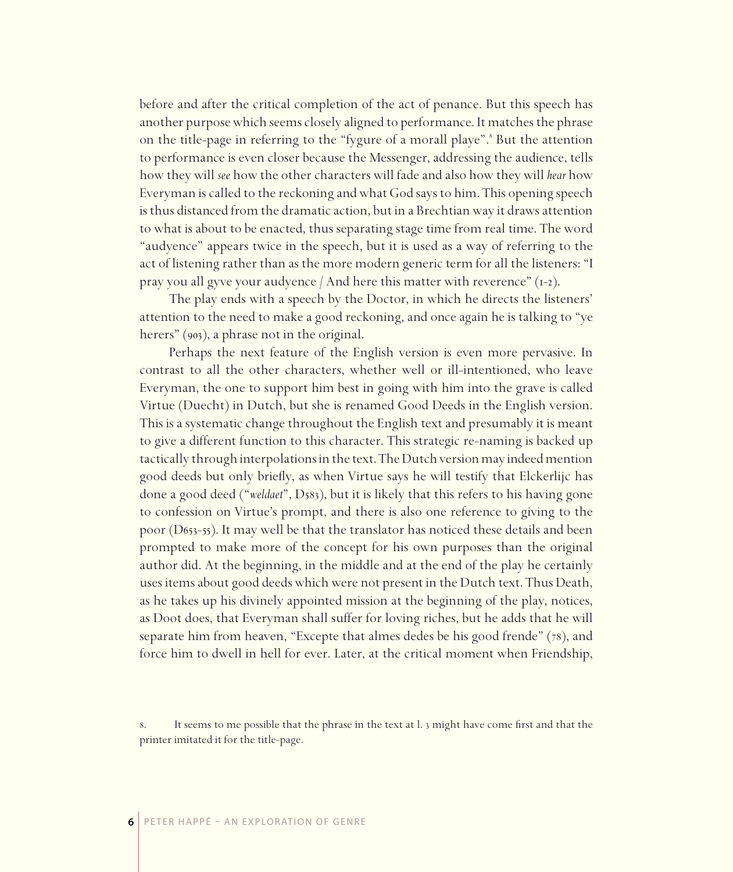before and after the critical completion of the act of penance. But this speech has another purpose which seems closely aligned to performance. It matches the phrase on the title-page in referring to the "fygure of a morall playe". But the attention to performance is even closer because the Messenger, addressing the audience, tells how they will *see* how the other characters will fade and also how they will *hear* how Everyman is called to the reckoning and what God says to him. This opening speech is thus distanced from the dramatic action, but in a Brechtian way it draws attention to what is about to be enacted, thus separating stage time from real time. The word "audyence" appears twice in the speech, but it is used as a way of referring to the act of listening rather than as the more modern generic term for all the listeners: "I pray you all gyve your audyence  $/$  And here this matter with reverence"  $(1-2)$ .

The play ends with a speech by the Doctor, in which he directs the listeners' attention to the need to make a good reckoning, and once again he is talking to "ye herers"  $(903)$ , a phrase not in the original.

Perhaps the next feature of the English version is even more pervasive. In contrast to all the other characters, whether well or ill-intentioned, who leave Everyman, the one to support him best in going with him into the grave is called Virtue (Duecht) in Dutch, but she is renamed Good Deeds in the English version. This is a systematic change throughout the English text and presumably it is meant to give a different function to this character. This strategic re-naming is backed up tactically through interpolations in the text. The Dutch version may indeed mention good deeds but only briefly, as when Virtue says he will testify that Elckerlijc has done a good deed ("weldaet", D<sub>583</sub>), but it is likely that this refers to his having gone to confession on Virtue's prompt, and there is also one reference to giving to the poor (D653-55). It may well be that the translator has noticed these details and been prompted to make more of the concept for his own purposes than the original author did. At the beginning, in the middle and at the end of the play he certainly uses items about good deeds which were not present in the Dutch text. Thus Death, as he takes up his divinely appointed mission at the beginning of the play, notices, as Doot does, that Everyman shall suffer for loving riches, but he adds that he will separate him from heaven, "Excepte that almes dedes be his good frende"  $(78)$ , and force him to dwell in hell for ever. Later, at the critical moment when Friendship,

<sup>.</sup> It seems to me possible that the phrase in the text at l. might have come first and that the printer imitated it for the title-page.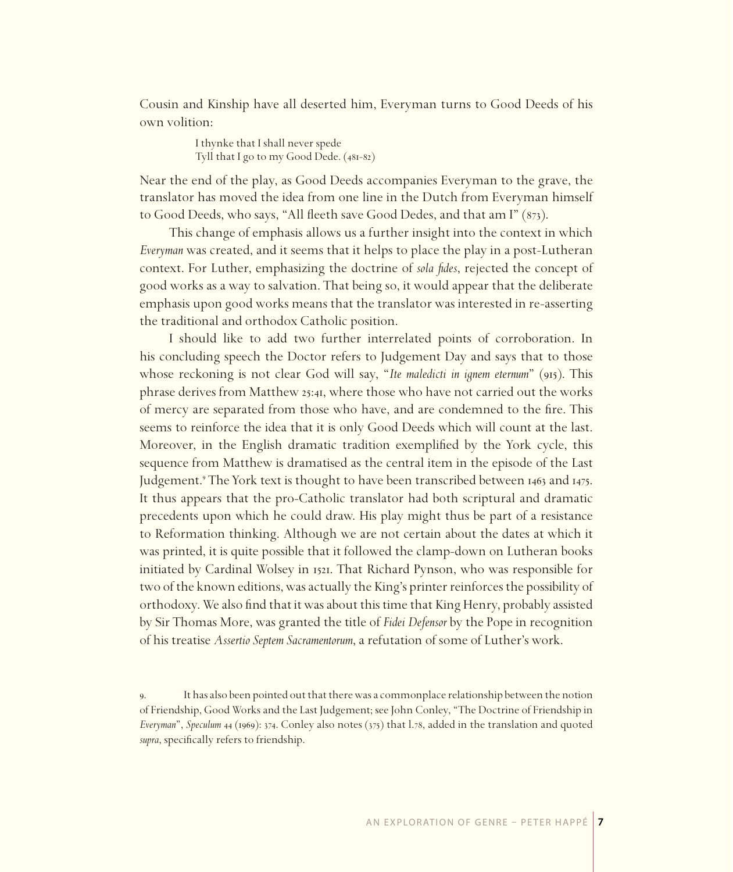Cousin and Kinship have all deserted him, Everyman turns to Good Deeds of his own volition:

> I thynke that I shall never spede Tyll that I go to my Good Dede. (481-82)

Near the end of the play, as Good Deeds accompanies Everyman to the grave, the translator has moved the idea from one line in the Dutch from Everyman himself to Good Deeds, who says, "All fleeth save Good Dedes, and that am I" (873).

This change of emphasis allows us a further insight into the context in which *Everyman* was created, and it seems that it helps to place the play in a post-Lutheran context. For Luther, emphasizing the doctrine of *sola fides*, rejected the concept of good works as a way to salvation. That being so, it would appear that the deliberate emphasis upon good works means that the translator was interested in re-asserting the traditional and orthodox Catholic position.

I should like to add two further interrelated points of corroboration. In his concluding speech the Doctor refers to Judgement Day and says that to those whose reckoning is not clear God will say, "*Ite maledicti in ignem eternum*" (915). This phrase derives from Matthew 25:41, where those who have not carried out the works of mercy are separated from those who have, and are condemned to the fire. This seems to reinforce the idea that it is only Good Deeds which will count at the last. Moreover, in the English dramatic tradition exemplified by the York cycle, this sequence from Matthew is dramatised as the central item in the episode of the Last Judgement.<sup>9</sup> The York text is thought to have been transcribed between 1463 and 1475. It thus appears that the pro-Catholic translator had both scriptural and dramatic precedents upon which he could draw. His play might thus be part of a resistance to Reformation thinking. Although we are not certain about the dates at which it was printed, it is quite possible that it followed the clamp-down on Lutheran books initiated by Cardinal Wolsey in 1521. That Richard Pynson, who was responsible for two of the known editions, was actually the King's printer reinforces the possibility of orthodoxy. We also find that it was about this time that King Henry, probably assisted by Sir Thomas More, was granted the title of *Fidei Defensor* by the Pope in recognition of his treatise *Assertio Septem Sacramentorum*, a refutation of some of Luther's work.

. It has also been pointed out that there was a commonplace relationship between the notion of Friendship, Good Works and the Last Judgement; see John Conley, "The Doctrine of Friendship in *Everyman*", *Speculum 44* (1969): 374. Conley also notes (375) that l.78, added in the translation and quoted *supra*, specifically refers to friendship.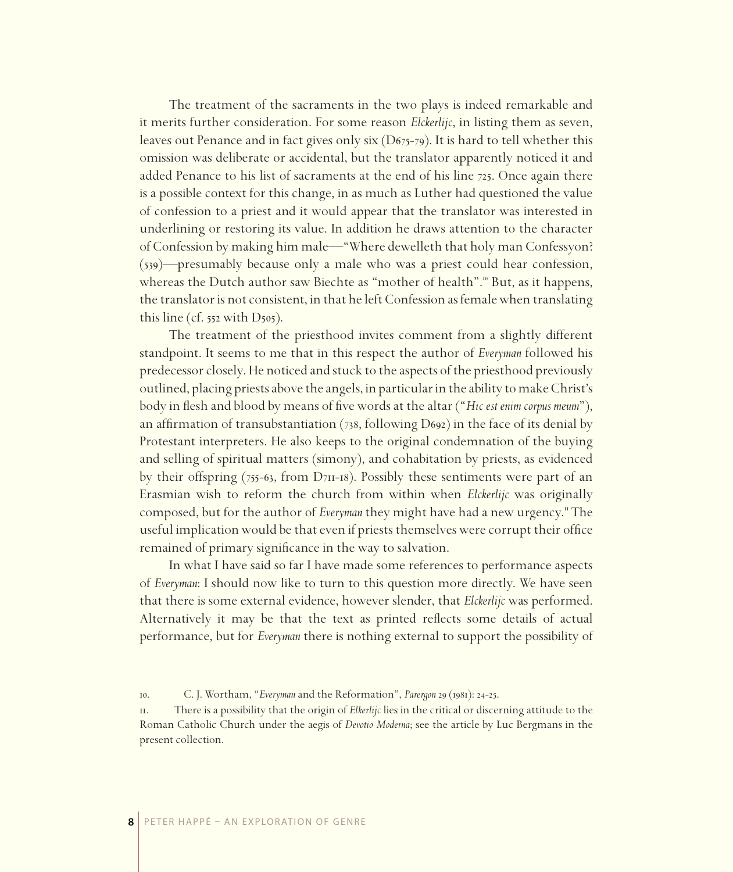The treatment of the sacraments in the two plays is indeed remarkable and it merits further consideration. For some reason *Elckerlijc*, in listing them as seven, leaves out Penance and in fact gives only six  $(D_{675-79})$ . It is hard to tell whether this omission was deliberate or accidental, but the translator apparently noticed it and added Penance to his list of sacraments at the end of his line  $725$ . Once again there is a possible context for this change, in as much as Luther had questioned the value of confession to a priest and it would appear that the translator was interested in underlining or restoring its value. In addition he draws attention to the character of Confession by making him male—"Where dewelleth that holy man Confessyon?  $(539)$ —presumably because only a male who was a priest could hear confession, whereas the Dutch author saw Biechte as "mother of health".<sup>10</sup> But, as it happens, the translator is not consistent, in that he left Confession as female when translating this line (cf.  $552$  with D $505$ ).

The treatment of the priesthood invites comment from a slightly different standpoint. It seems to me that in this respect the author of *Everyman* followed his predecessor closely. He noticed and stuck to the aspects of the priesthood previously outlined, placing priests above the angels, in particular in the ability to make Christ's body in flesh and blood by means of five words at the altar ("*Hic est enim corpus meum*"), an affirmation of transubstantiation (738, following D692) in the face of its denial by Protestant interpreters. He also keeps to the original condemnation of the buying and selling of spiritual matters (simony), and cohabitation by priests, as evidenced by their offspring  $(755-63,$  from  $D_{7}$ II-18). Possibly these sentiments were part of an Erasmian wish to reform the church from within when *Elckerlijc* was originally composed, but for the author of *Everyman* they might have had a new urgency. The useful implication would be that even if priests themselves were corrupt their office remained of primary significance in the way to salvation.

In what I have said so far I have made some references to performance aspects of *Everyman*: I should now like to turn to this question more directly. We have seen that there is some external evidence, however slender, that *Elckerlijc* was performed. Alternatively it may be that the text as printed reflects some details of actual performance, but for *Everyman* there is nothing external to support the possibility of

10. C. J. Wortham, "*Everyman* and the Reformation", *Parergon* 29 (1981): 24-25.

. There is a possibility that the origin of *Elkerlijc* lies in the critical or discerning attitude to the Roman Catholic Church under the aegis of *Devotio Moderna*; see the article by Luc Bergmans in the present collection.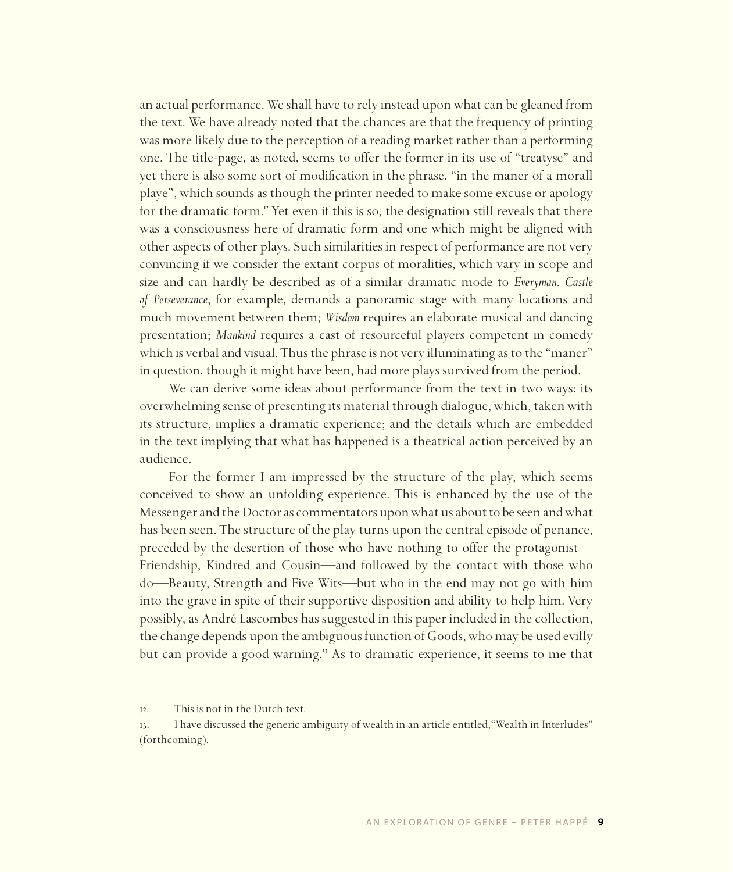an actual performance. We shall have to rely instead upon what can be gleaned from the text. We have already noted that the chances are that the frequency of printing was more likely due to the perception of a reading market rather than a performing one. The title-page, as noted, seems to offer the former in its use of "treatyse" and yet there is also some sort of modification in the phrase, "in the maner of a morall playe", which sounds as though the printer needed to make some excuse or apology for the dramatic form.<sup>"</sup> Yet even if this is so, the designation still reveals that there was a consciousness here of dramatic form and one which might be aligned with other aspects of other plays. Such similarities in respect of performance are not very convincing if we consider the extant corpus of moralities, which vary in scope and size and can hardly be described as of a similar dramatic mode to *Everyman*. *Castle of Perseverance*, for example, demands a panoramic stage with many locations and much movement between them; *Wisdom* requires an elaborate musical and dancing presentation; *Mankind* requires a cast of resourceful players competent in comedy which is verbal and visual. Thus the phrase is not very illuminating as to the "maner" in question, though it might have been, had more plays survived from the period.

We can derive some ideas about performance from the text in two ways: its overwhelming sense of presenting its material through dialogue, which, taken with its structure, implies a dramatic experience; and the details which are embedded in the text implying that what has happened is a theatrical action perceived by an audience.

For the former I am impressed by the structure of the play, which seems conceived to show an unfolding experience. This is enhanced by the use of the Messenger and the Doctor as commentators upon what us about to be seen and what has been seen. The structure of the play turns upon the central episode of penance, preceded by the desertion of those who have nothing to offer the protagonist— Friendship, Kindred and Cousin—and followed by the contact with those who do—Beauty, Strength and Five Wits—but who in the end may not go with him into the grave in spite of their supportive disposition and ability to help him. Very possibly, as André Lascombes has suggested in this paper included in the collection, the change depends upon the ambiguous function of Goods, who may be used evilly but can provide a good warning.<sup>13</sup> As to dramatic experience, it seems to me that

. This is not in the Dutch text.

. I have discussed the generic ambiguity of wealth in an article entitled,"Wealth in Interludes" (forthcoming).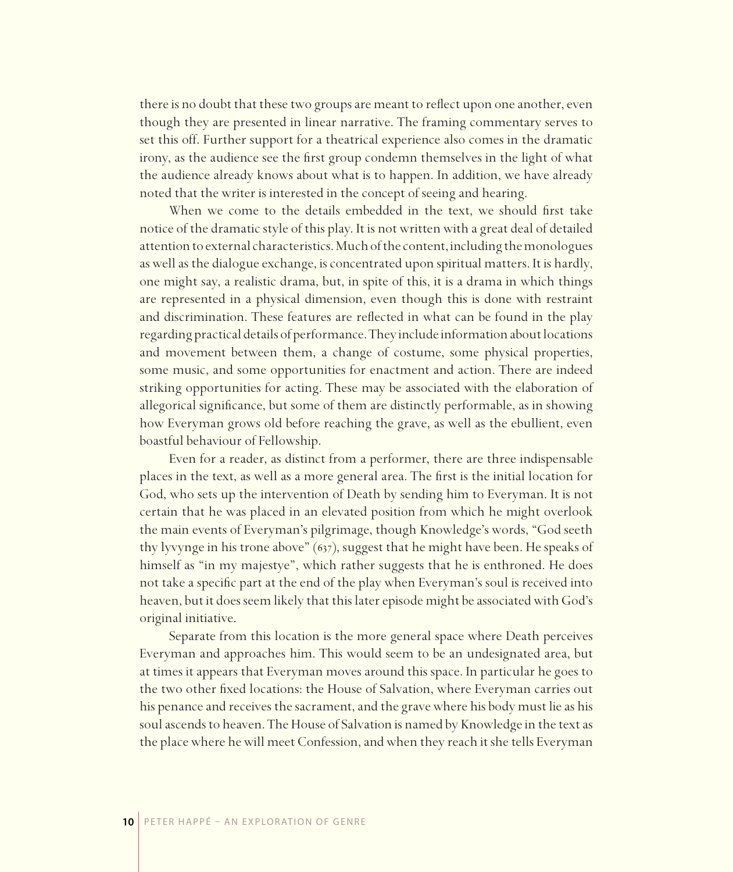there is no doubt that these two groups are meant to reflect upon one another, even though they are presented in linear narrative. The framing commentary serves to set this off. Further support for a theatrical experience also comes in the dramatic irony, as the audience see the first group condemn themselves in the light of what the audience already knows about what is to happen. In addition, we have already noted that the writer is interested in the concept of seeing and hearing.

When we come to the details embedded in the text, we should first take notice of the dramatic style of this play. It is not written with a great deal of detailed attention to external characteristics. Much of the content, including the monologues as well as the dialogue exchange, is concentrated upon spiritual matters. It is hardly, one might say, a realistic drama, but, in spite of this, it is a drama in which things are represented in a physical dimension, even though this is done with restraint and discrimination. These features are reflected in what can be found in the play regarding practical details of performance. They include information about locations and movement between them, a change of costume, some physical properties, some music, and some opportunities for enactment and action. There are indeed striking opportunities for acting. These may be associated with the elaboration of allegorical significance, but some of them are distinctly performable, as in showing how Everyman grows old before reaching the grave, as well as the ebullient, even boastful behaviour of Fellowship.

Even for a reader, as distinct from a performer, there are three indispensable places in the text, as well as a more general area. The first is the initial location for God, who sets up the intervention of Death by sending him to Everyman. It is not certain that he was placed in an elevated position from which he might overlook the main events of Everyman's pilgrimage, though Knowledge's words, "God seeth thy lyvynge in his trone above" (637), suggest that he might have been. He speaks of himself as "in my majestye", which rather suggests that he is enthroned. He does not take a specific part at the end of the play when Everyman's soul is received into heaven, but it does seem likely that this later episode might be associated with God's original initiative.

Separate from this location is the more general space where Death perceives Everyman and approaches him. This would seem to be an undesignated area, but at times it appears that Everyman moves around this space. In particular he goes to the two other fixed locations: the House of Salvation, where Everyman carries out his penance and receives the sacrament, and the grave where his body must lie as his soul ascends to heaven. The House of Salvation is named by Knowledge in the text as the place where he will meet Confession, and when they reach it she tells Everyman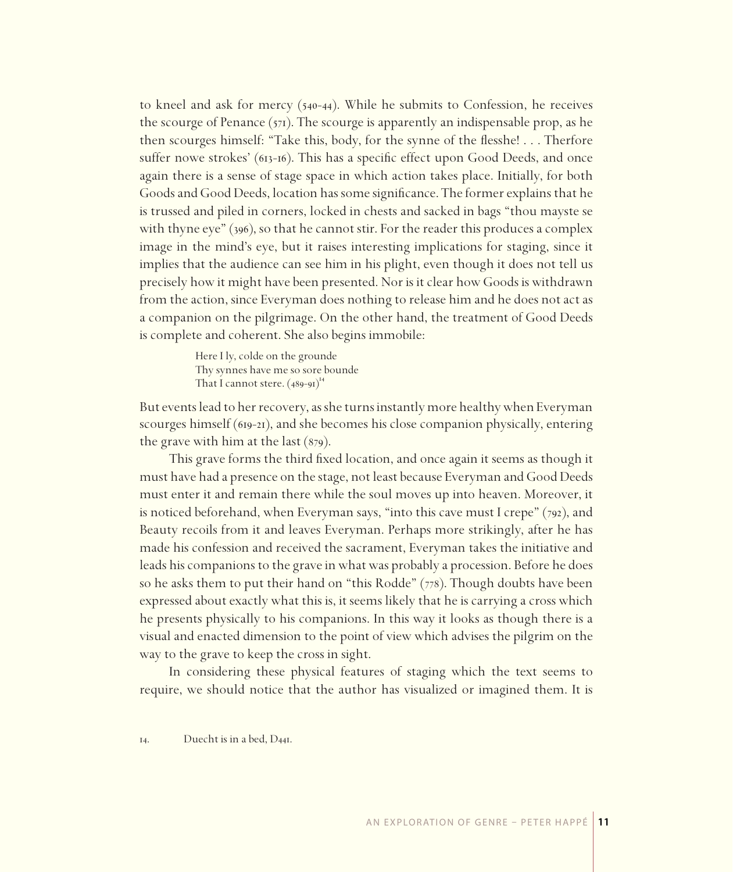to kneel and ask for mercy  $(540-44)$ . While he submits to Confession, he receives the scourge of Penance  $(571)$ . The scourge is apparently an indispensable prop, as he then scourges himself: "Take this, body, for the synne of the flesshe! . . . Therfore suffer nowe strokes'  $(613-16)$ . This has a specific effect upon Good Deeds, and once again there is a sense of stage space in which action takes place. Initially, for both Goods and Good Deeds, location has some significance. The former explains that he is trussed and piled in corners, locked in chests and sacked in bags "thou mayste se with thyne eye"  $(396)$ , so that he cannot stir. For the reader this produces a complex image in the mind's eye, but it raises interesting implications for staging, since it implies that the audience can see him in his plight, even though it does not tell us precisely how it might have been presented. Nor is it clear how Goods is withdrawn from the action, since Everyman does nothing to release him and he does not act as a companion on the pilgrimage. On the other hand, the treatment of Good Deeds is complete and coherent. She also begins immobile:

> Here I ly, colde on the grounde Thy synnes have me so sore bounde That I cannot stere.  $(489-91)^{14}$

But events lead to her recovery, as she turns instantly more healthy when Everyman scourges himself ( $619-21$ ), and she becomes his close companion physically, entering the grave with him at the last  $(879)$ .

This grave forms the third fixed location, and once again it seems as though it must have had a presence on the stage, not least because Everyman and Good Deeds must enter it and remain there while the soul moves up into heaven. Moreover, it is noticed beforehand, when Everyman says, "into this cave must I crepe"  $(792)$ , and Beauty recoils from it and leaves Everyman. Perhaps more strikingly, after he has made his confession and received the sacrament, Everyman takes the initiative and leads his companions to the grave in what was probably a procession. Before he does so he asks them to put their hand on "this Rodde"  $(778)$ . Though doubts have been expressed about exactly what this is, it seems likely that he is carrying a cross which he presents physically to his companions. In this way it looks as though there is a visual and enacted dimension to the point of view which advises the pilgrim on the way to the grave to keep the cross in sight.

In considering these physical features of staging which the text seems to require, we should notice that the author has visualized or imagined them. It is

 $14.$  Duecht is in a bed,  $D_{44I}$ .